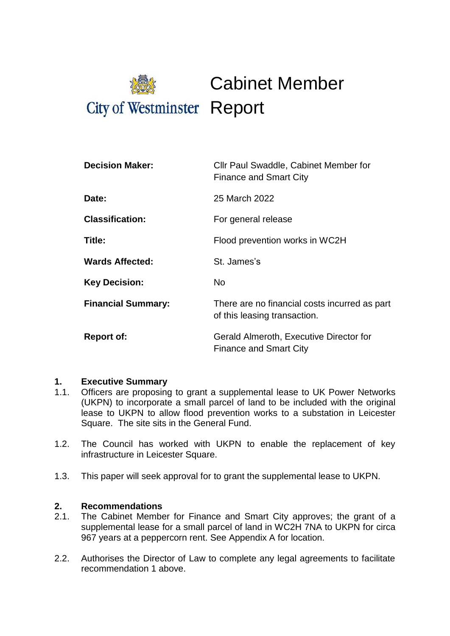

| <b>Decision Maker:</b>    | Cllr Paul Swaddle, Cabinet Member for<br><b>Finance and Smart City</b>        |
|---------------------------|-------------------------------------------------------------------------------|
| Date:                     | 25 March 2022                                                                 |
| <b>Classification:</b>    | For general release                                                           |
| Title:                    | Flood prevention works in WC2H                                                |
| <b>Wards Affected:</b>    | St. James's                                                                   |
| <b>Key Decision:</b>      | No.                                                                           |
| <b>Financial Summary:</b> | There are no financial costs incurred as part<br>of this leasing transaction. |
| <b>Report of:</b>         | Gerald Almeroth, Executive Director for<br><b>Finance and Smart City</b>      |

### **1. Executive Summary**

- 1.1. Officers are proposing to grant a supplemental lease to UK Power Networks (UKPN) to incorporate a small parcel of land to be included with the original lease to UKPN to allow flood prevention works to a substation in Leicester Square. The site sits in the General Fund.
- 1.2. The Council has worked with UKPN to enable the replacement of key infrastructure in Leicester Square.
- 1.3. This paper will seek approval for to grant the supplemental lease to UKPN.

### **2. Recommendations**

- 2.1. The Cabinet Member for Finance and Smart City approves; the grant of a supplemental lease for a small parcel of land in WC2H 7NA to UKPN for circa 967 years at a peppercorn rent. See Appendix A for location.
- 2.2. Authorises the Director of Law to complete any legal agreements to facilitate recommendation 1 above.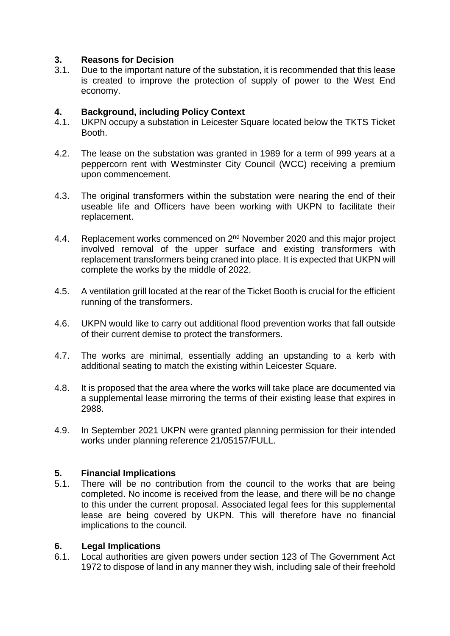## **3. Reasons for Decision**

3.1. Due to the important nature of the substation, it is recommended that this lease is created to improve the protection of supply of power to the West End economy.

# **4. Background, including Policy Context**

- UKPN occupy a substation in Leicester Square located below the TKTS Ticket Booth.
- 4.2. The lease on the substation was granted in 1989 for a term of 999 years at a peppercorn rent with Westminster City Council (WCC) receiving a premium upon commencement.
- 4.3. The original transformers within the substation were nearing the end of their useable life and Officers have been working with UKPN to facilitate their replacement.
- 4.4. Replacement works commenced on 2<sup>nd</sup> November 2020 and this major project involved removal of the upper surface and existing transformers with replacement transformers being craned into place. It is expected that UKPN will complete the works by the middle of 2022.
- 4.5. A ventilation grill located at the rear of the Ticket Booth is crucial for the efficient running of the transformers.
- 4.6. UKPN would like to carry out additional flood prevention works that fall outside of their current demise to protect the transformers.
- 4.7. The works are minimal, essentially adding an upstanding to a kerb with additional seating to match the existing within Leicester Square.
- 4.8. It is proposed that the area where the works will take place are documented via a supplemental lease mirroring the terms of their existing lease that expires in 2988.
- 4.9. In September 2021 UKPN were granted planning permission for their intended works under planning reference 21/05157/FULL.

### **5. Financial Implications**

5.1. There will be no contribution from the council to the works that are being completed. No income is received from the lease, and there will be no change to this under the current proposal. Associated legal fees for this supplemental lease are being covered by UKPN. This will therefore have no financial implications to the council.

### **6. Legal Implications**

6.1. Local authorities are given powers under section 123 of The Government Act 1972 to dispose of land in any manner they wish, including sale of their freehold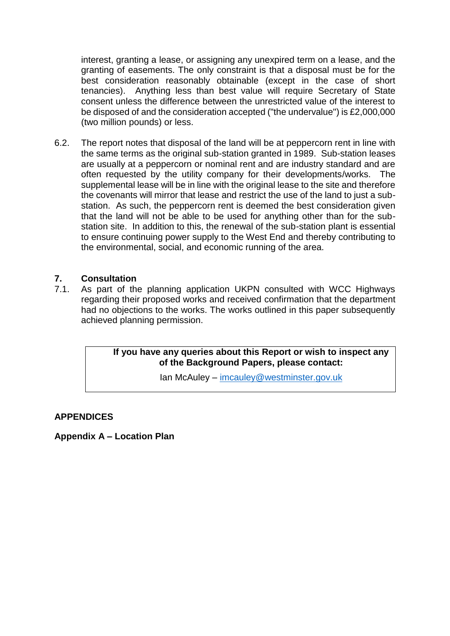interest, granting a lease, or assigning any unexpired term on a lease, and the granting of easements. The only constraint is that a disposal must be for the best consideration reasonably obtainable (except in the case of short tenancies). Anything less than best value will require Secretary of State consent unless the difference between the unrestricted value of the interest to be disposed of and the consideration accepted ("the undervalue") is £2,000,000 (two million pounds) or less.

6.2. The report notes that disposal of the land will be at peppercorn rent in line with the same terms as the original sub-station granted in 1989. Sub-station leases are usually at a peppercorn or nominal rent and are industry standard and are often requested by the utility company for their developments/works. The supplemental lease will be in line with the original lease to the site and therefore the covenants will mirror that lease and restrict the use of the land to just a substation. As such, the peppercorn rent is deemed the best consideration given that the land will not be able to be used for anything other than for the substation site. In addition to this, the renewal of the sub-station plant is essential to ensure continuing power supply to the West End and thereby contributing to the environmental, social, and economic running of the area.

### **7. Consultation**

7.1. As part of the planning application UKPN consulted with WCC Highways regarding their proposed works and received confirmation that the department had no objections to the works. The works outlined in this paper subsequently achieved planning permission.

> **If you have any queries about this Report or wish to inspect any of the Background Papers, please contact:**

> > Ian McAuley – [imcauley@westminster.gov.uk](mailto:imcauley@westminster.gov.uk)

### **APPENDICES**

**Appendix A – Location Plan**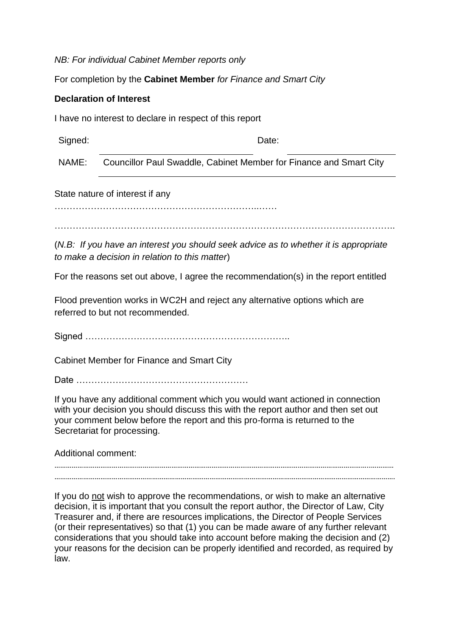*NB: For individual Cabinet Member reports only*

For completion by the **Cabinet Member** *for Finance and Smart City*

### **Declaration of Interest**

I have no interest to declare in respect of this report

Signed: Date:

NAME: Councillor Paul Swaddle, Cabinet Member for Finance and Smart City

State nature of interest if any

…………………………………………………………..……

…………………………………………………………………………………………………..

(*N.B: If you have an interest you should seek advice as to whether it is appropriate to make a decision in relation to this matter*)

For the reasons set out above, I agree the recommendation(s) in the report entitled

Flood prevention works in WC2H and reject any alternative options which are referred to but not recommended.

Signed …………………………………………………………..

Cabinet Member for Finance and Smart City

Date …………………………………………………

If you have any additional comment which you would want actioned in connection with your decision you should discuss this with the report author and then set out your comment below before the report and this pro-forma is returned to the Secretariat for processing.

Additional comment:

…………………………………….…………………………………………………………………………………………………………..………… …………………………………………………………………………………………………………………………………………………………….

If you do not wish to approve the recommendations, or wish to make an alternative decision, it is important that you consult the report author, the Director of Law, City Treasurer and, if there are resources implications, the Director of People Services (or their representatives) so that (1) you can be made aware of any further relevant considerations that you should take into account before making the decision and (2) your reasons for the decision can be properly identified and recorded, as required by law.